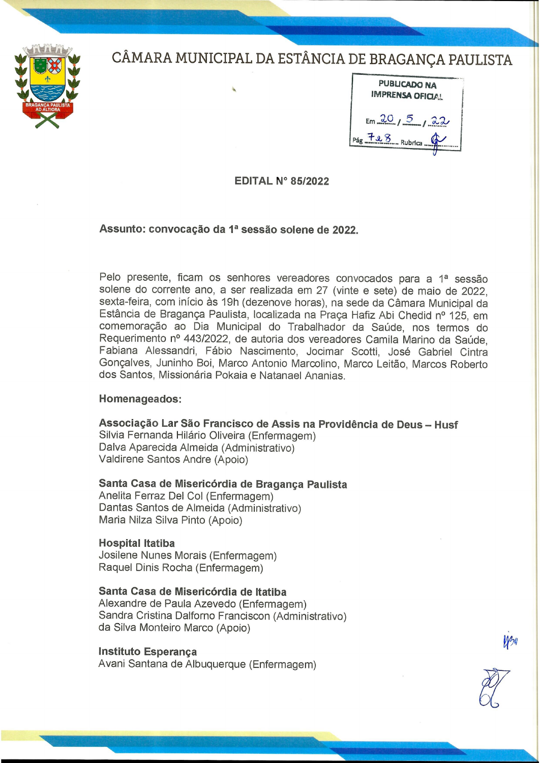



|                     | PUBLICADO NA<br><b>IMPRENSA OFICIAL</b> |              |  |
|---------------------|-----------------------------------------|--------------|--|
|                     |                                         | Em 20, 5, 22 |  |
| $P4g - 728$ Rubrica |                                         |              |  |

**EDITAL N° 85/2022** 

Assunto: convocação da 1ª sessão solene de 2022.

Pelo presente, ficam os senhores vereadores convocados para a 1ª sessão solene do corrente ano, a ser realizada em 27 (vinte e sete) de maio de 2022. sexta-feira, com início às 19h (dezenove horas), na sede da Câmara Municipal da Estância de Bragança Paulista, localizada na Praça Hafiz Abi Chedid nº 125, em comemoração ao Dia Municipal do Trabalhador da Saúde, nos termos do Requerimento nº 443/2022, de autoria dos vereadores Camila Marino da Saúde, Fabiana Alessandri, Fábio Nascimento, Jocimar Scotti, José Gabriel Cintra Gonçalves, Juninho Boi, Marco Antonio Marcolino, Marco Leitão, Marcos Roberto dos Santos, Missionária Pokaia e Natanael Ananias.

## Homenageados:

Associação Lar São Francisco de Assis na Providência de Deus - Husf

Silvia Fernanda Hilário Oliveira (Enfermagem) Dalva Aparecida Almeida (Administrativo) Valdirene Santos Andre (Apoio)

Santa Casa de Misericórdia de Bragança Paulista

Anelita Ferraz Del Col (Enfermagem) Dantas Santos de Almeida (Administrativo) Maria Nilza Silva Pinto (Apoio)

## **Hospital Itatiba**

Josilene Nunes Morais (Enfermagem) Raquel Dinis Rocha (Enfermagem)

## Santa Casa de Misericórdia de Itatiba

Alexandre de Paula Azevedo (Enfermagem) Sandra Cristina Dalforno Franciscon (Administrativo) da Silva Monteiro Marco (Apoio)

## Instituto Esperanca

Avani Santana de Albuquerque (Enfermagem)